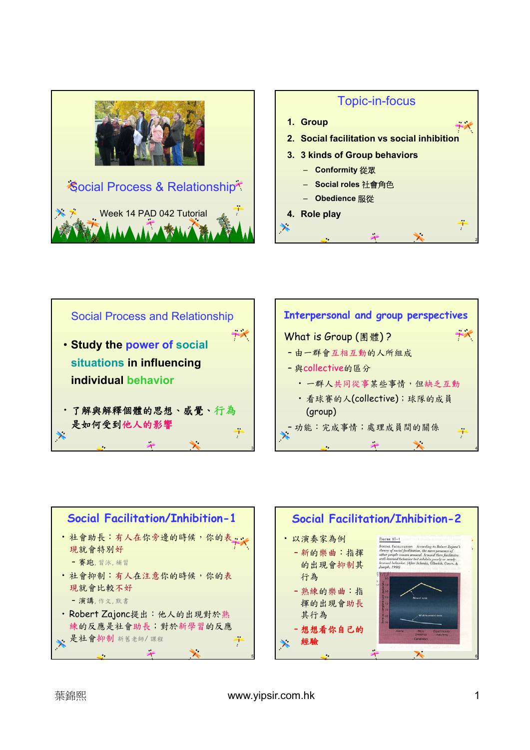









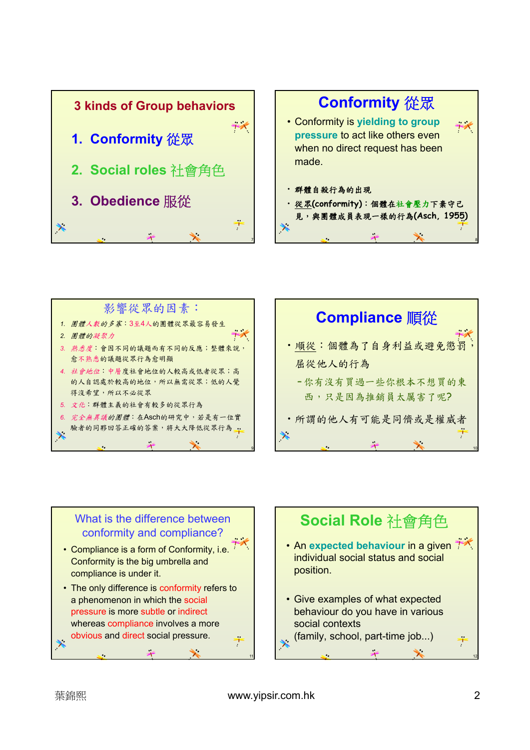









9